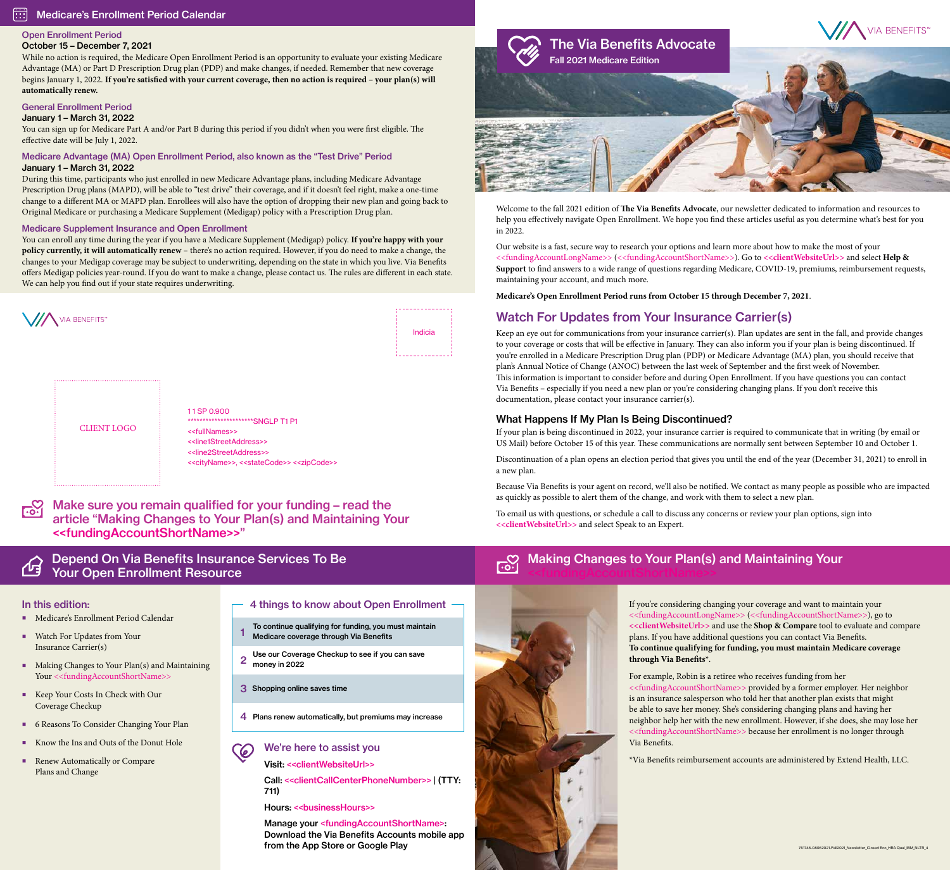\*\*\*\*\*\*\*\*\*\*\*\*\*\*\*\*\*\*\*\*\*\*SNGLP T1 P1 <<fullNames>> <<line1StreetAddress>> <<line2StreetAddress>> <<cityName>>, <<stateCode>> <<zipCode>>

 $r_{\rm o}$ 

#### Depend On Via Benefits Insurance Services To Be 凸 Your Open Enrollment Resource

# Watch For Updates from Your Insurance Carrier(s)

Keep an eye out for communications from your insurance carrier(s). Plan updates are sent in the fall, and provide changes to your coverage or costs that will be effective in January. They can also inform you if your plan is being discontinued. If you're enrolled in a Medicare Prescription Drug plan (PDP) or Medicare Advantage (MA) plan, you should receive that plan's Annual Notice of Change (ANOC) between the last week of September and the first week of November. This information is important to consider before and during Open Enrollment. If you have questions you can contact Via Benefits – especially if you need a new plan or you're considering changing plans. If you don't receive this documentation, please contact your insurance carrier(s).

C We're here to assist you

## What Happens If My Plan Is Being Discontinued?

- To continue qualifying for funding, you must maintain Medicare coverage through Via Benefits 1
- Use our Coverage Checkup to see if you can save 2 money in 2022
- 3 Shopping online saves time
- 4 Plans renew automatically, but premiums may increase

If your plan is being discontinued in 2022, your insurance carrier is required to communicate that in writing (by email or US Mail) before October 15 of this year. These communications are normally sent between September 10 and October 1.

Discontinuation of a plan opens an election period that gives you until the end of the year (December 31, 2021) to enroll in a new plan.

Because Via Benefits is your agent on record, we'll also be notified. We contact as many people as possible who are impacted as quickly as possible to alert them of the change, and work with them to select a new plan.

| VIA BENEFITS |             | Indicia |
|--------------|-------------|---------|
|              | 11 SP 0.900 |         |

#### 丽 Medicare's Enrollment Period Calendar

To email us with questions, or schedule a call to discuss any concerns or review your plan options, sign into **<<clientWebsiteUrl>>** and select Speak to an Expert.

Visit: <<clientWebsiteUrl>>

Call: <<clientCallCenterPhoneNumber>> | (TTY: 711)

Hours: << businessHours>>

Manage your <fundingAccountShortName>: Download the Via Benefits Accounts mobile app from the App Store or Google Play

## CLIENT LOGO



Welcome to the fall 2021 edition of **The Via Benefits Advocate**, our newsletter dedicated to information and resources to help you effectively navigate Open Enrollment. We hope you find these articles useful as you determine what's best for you in 2022.

Our website is a fast, secure way to research your options and learn more about how to make the most of your <<fundingAccountLongName>> (<<fundingAccountShortName>>). Go to **<<clientWebsiteUrl>>** and select **Help & Support** to find answers to a wide range of questions regarding Medicare, COVID-19, premiums, reimbursement requests, maintaining your account, and much more.

#### Making Changes to Your Plan(s) and Maintaining Your <u>ြင်္</u>ပ



**Medicare's Open Enrollment Period runs from October 15 through December 7, 2021**.

## Open Enrollment Period

## October 15 – December 7, 2021

- Medicare's Enrollment Period Calendar
- Watch For Updates from Your Insurance Carrier(s)
- Making Changes to Your Plan(s) and Maintaining Your <<fundingAccountShortName>>
- Keep Your Costs In Check with Our Coverage Checkup
- 6 Reasons To Consider Changing Your Plan
- Know the Ins and Outs of the Donut Hole
- Renew Automatically or Compare Plans and Change

#### 4 things to know about Open Enrollment -

While no action is required, the Medicare Open Enrollment Period is an opportunity to evaluate your existing Medicare Advantage (MA) or Part D Prescription Drug plan (PDP) and make changes, if needed. Remember that new coverage begins January 1, 2022. **If you're satisfied with your current coverage, then no action is required – your plan(s) will automatically renew.**

### General Enrollment Period

January 1 – March 31, 2022

You can sign up for Medicare Part A and/or Part B during this period if you didn't when you were first eligible. The effective date will be July 1, 2022.

#### Medicare Advantage (MA) Open Enrollment Period, also known as the "Test Drive" Period January 1 – March 31, 2022

During this time, participants who just enrolled in new Medicare Advantage plans, including Medicare Advantage Prescription Drug plans (MAPD), will be able to "test drive" their coverage, and if it doesn't feel right, make a one-time change to a different MA or MAPD plan. Enrollees will also have the option of dropping their new plan and going back to Original Medicare or purchasing a Medicare Supplement (Medigap) policy with a Prescription Drug plan.

#### Medicare Supplement Insurance and Open Enrollment

You can enroll any time during the year if you have a Medicare Supplement (Medigap) policy. **If you're happy with your policy currently, it will automatically renew** – there's no action required. However, if you do need to make a change, the changes to your Medigap coverage may be subject to underwriting, depending on the state in which you live. Via Benefits offers Medigap policies year-round. If you do want to make a change, please contact us. The rules are different in each state. We can help you find out if your state requires underwriting.

Make sure you remain qualified for your funding – read the article "Making Changes to Your Plan(s) and Maintaining Your <<fundingAccountShortName>>"

> If you're considering changing your coverage and want to maintain your <<fundingAccountLongName>> (<<fundingAccountShortName>>), go to **<<clientWebsiteUrl>>** and use the **Shop & Compare** tool to evaluate and compare plans. If you have additional questions you can contact Via Benefits. **To continue qualifying for funding, you must maintain Medicare coverage through Via Benefits\***.

For example, Robin is a retiree who receives funding from her <<fundingAccountShortName>> provided by a former employer. Her neighbor is an insurance salesperson who told her that another plan exists that might be able to save her money. She's considering changing plans and having her neighbor help her with the new enrollment. However, if she does, she may lose her <<fundingAccountShortName>> because her enrollment is no longer through Via Benefits.

\*Via Benefits reimbursement accounts are administered by Extend Health, LLC.

## In this edition: